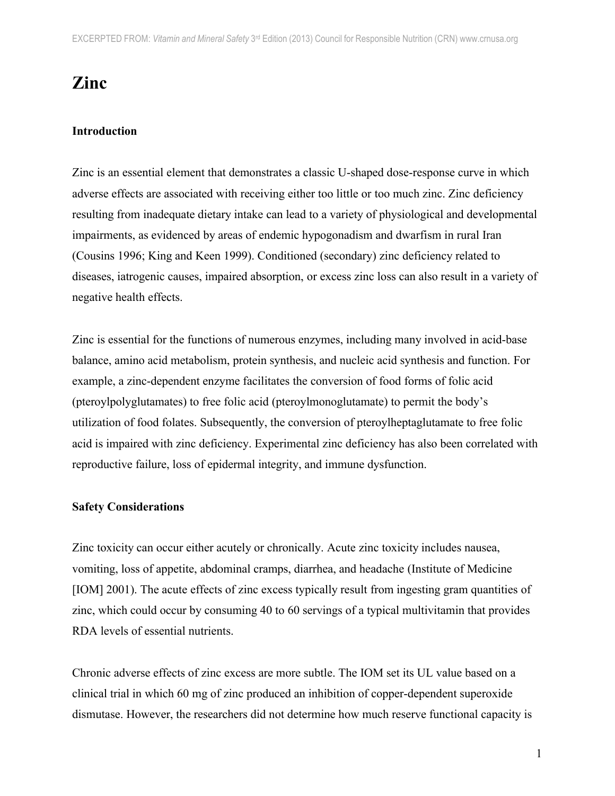# **Zinc**

# **Introduction**

Zinc is an essential element that demonstrates a classic U-shaped dose-response curve in which adverse effects are associated with receiving either too little or too much zinc. Zinc deficiency resulting from inadequate dietary intake can lead to a variety of physiological and developmental impairments, as evidenced by areas of endemic hypogonadism and dwarfism in rural Iran (Cousins 1996; King and Keen 1999). Conditioned (secondary) zinc deficiency related to diseases, iatrogenic causes, impaired absorption, or excess zinc loss can also result in a variety of negative health effects.

Zinc is essential for the functions of numerous enzymes, including many involved in acid-base balance, amino acid metabolism, protein synthesis, and nucleic acid synthesis and function. For example, a zinc-dependent enzyme facilitates the conversion of food forms of folic acid (pteroylpolyglutamates) to free folic acid (pteroylmonoglutamate) to permit the body's utilization of food folates. Subsequently, the conversion of pteroylheptaglutamate to free folic acid is impaired with zinc deficiency. Experimental zinc deficiency has also been correlated with reproductive failure, loss of epidermal integrity, and immune dysfunction.

# **Safety Considerations**

Zinc toxicity can occur either acutely or chronically. Acute zinc toxicity includes nausea, vomiting, loss of appetite, abdominal cramps, diarrhea, and headache (Institute of Medicine [IOM] 2001). The acute effects of zinc excess typically result from ingesting gram quantities of zinc, which could occur by consuming 40 to 60 servings of a typical multivitamin that provides RDA levels of essential nutrients.

Chronic adverse effects of zinc excess are more subtle. The IOM set its UL value based on a clinical trial in which 60 mg of zinc produced an inhibition of copper-dependent superoxide dismutase. However, the researchers did not determine how much reserve functional capacity is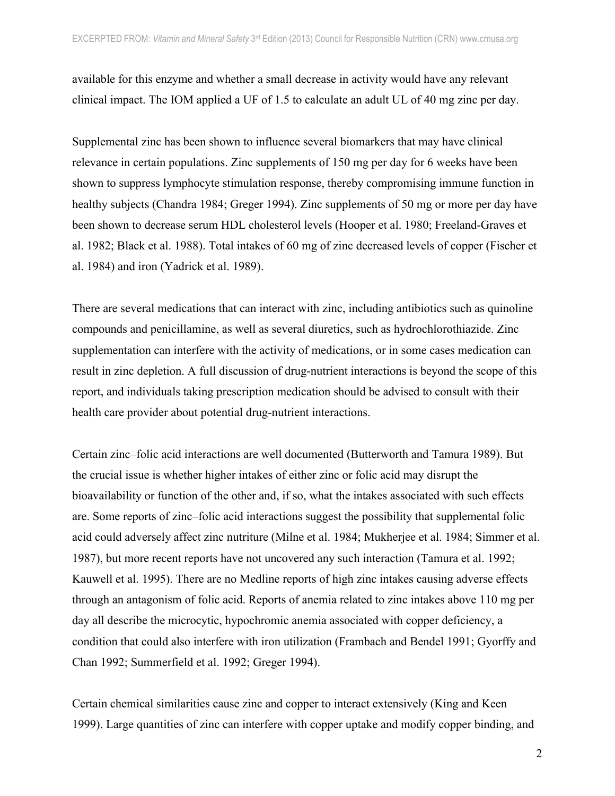available for this enzyme and whether a small decrease in activity would have any relevant clinical impact. The IOM applied a UF of 1.5 to calculate an adult UL of 40 mg zinc per day.

Supplemental zinc has been shown to influence several biomarkers that may have clinical relevance in certain populations. Zinc supplements of 150 mg per day for 6 weeks have been shown to suppress lymphocyte stimulation response, thereby compromising immune function in healthy subjects (Chandra 1984; Greger 1994). Zinc supplements of 50 mg or more per day have been shown to decrease serum HDL cholesterol levels (Hooper et al. 1980; Freeland-Graves et al. 1982; Black et al. 1988). Total intakes of 60 mg of zinc decreased levels of copper (Fischer et al. 1984) and iron (Yadrick et al. 1989).

There are several medications that can interact with zinc, including antibiotics such as quinoline compounds and penicillamine, as well as several diuretics, such as hydrochlorothiazide. Zinc supplementation can interfere with the activity of medications, or in some cases medication can result in zinc depletion. A full discussion of drug-nutrient interactions is beyond the scope of this report, and individuals taking prescription medication should be advised to consult with their health care provider about potential drug-nutrient interactions.

Certain zinc–folic acid interactions are well documented (Butterworth and Tamura 1989). But the crucial issue is whether higher intakes of either zinc or folic acid may disrupt the bioavailability or function of the other and, if so, what the intakes associated with such effects are. Some reports of zinc–folic acid interactions suggest the possibility that supplemental folic acid could adversely affect zinc nutriture (Milne et al. 1984; Mukherjee et al. 1984; Simmer et al. 1987), but more recent reports have not uncovered any such interaction (Tamura et al. 1992; Kauwell et al. 1995). There are no Medline reports of high zinc intakes causing adverse effects through an antagonism of folic acid. Reports of anemia related to zinc intakes above 110 mg per day all describe the microcytic, hypochromic anemia associated with copper deficiency, a condition that could also interfere with iron utilization (Frambach and Bendel 1991; Gyorffy and Chan 1992; Summerfield et al. 1992; Greger 1994).

Certain chemical similarities cause zinc and copper to interact extensively (King and Keen 1999). Large quantities of zinc can interfere with copper uptake and modify copper binding, and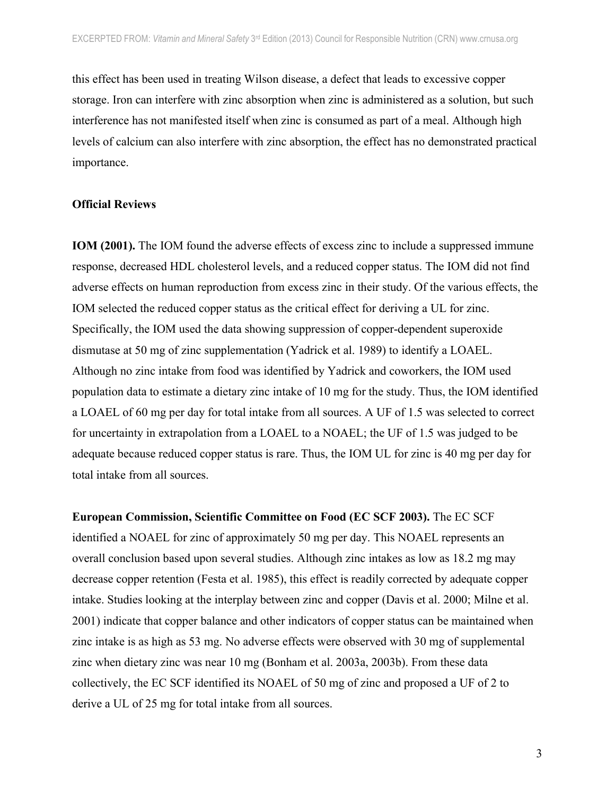this effect has been used in treating Wilson disease, a defect that leads to excessive copper storage. Iron can interfere with zinc absorption when zinc is administered as a solution, but such interference has not manifested itself when zinc is consumed as part of a meal. Although high levels of calcium can also interfere with zinc absorption, the effect has no demonstrated practical importance.

#### **Official Reviews**

**IOM (2001).** The IOM found the adverse effects of excess zinc to include a suppressed immune response, decreased HDL cholesterol levels, and a reduced copper status. The IOM did not find adverse effects on human reproduction from excess zinc in their study. Of the various effects, the IOM selected the reduced copper status as the critical effect for deriving a UL for zinc. Specifically, the IOM used the data showing suppression of copper-dependent superoxide dismutase at 50 mg of zinc supplementation (Yadrick et al. 1989) to identify a LOAEL. Although no zinc intake from food was identified by Yadrick and coworkers, the IOM used population data to estimate a dietary zinc intake of 10 mg for the study. Thus, the IOM identified a LOAEL of 60 mg per day for total intake from all sources. A UF of 1.5 was selected to correct for uncertainty in extrapolation from a LOAEL to a NOAEL; the UF of 1.5 was judged to be adequate because reduced copper status is rare. Thus, the IOM UL for zinc is 40 mg per day for total intake from all sources.

**European Commission, Scientific Committee on Food (EC SCF 2003).** The EC SCF identified a NOAEL for zinc of approximately 50 mg per day. This NOAEL represents an overall conclusion based upon several studies. Although zinc intakes as low as 18.2 mg may decrease copper retention (Festa et al. 1985), this effect is readily corrected by adequate copper intake. Studies looking at the interplay between zinc and copper (Davis et al. 2000; Milne et al. 2001) indicate that copper balance and other indicators of copper status can be maintained when zinc intake is as high as 53 mg. No adverse effects were observed with 30 mg of supplemental zinc when dietary zinc was near 10 mg (Bonham et al. 2003a, 2003b). From these data collectively, the EC SCF identified its NOAEL of 50 mg of zinc and proposed a UF of 2 to derive a UL of 25 mg for total intake from all sources.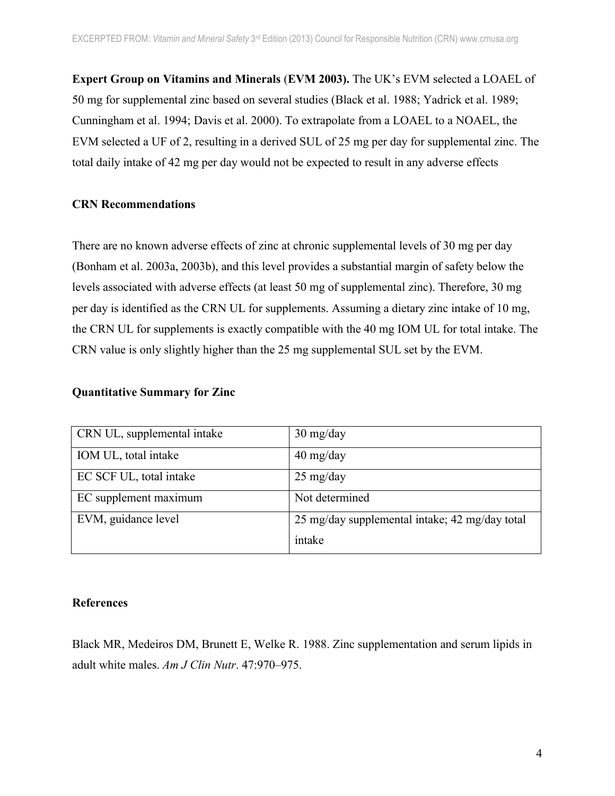**Expert Group on Vitamins and Minerals** (**EVM 2003).** The UK's EVM selected a LOAEL of 50 mg for supplemental zinc based on several studies (Black et al. 1988; Yadrick et al. 1989; Cunningham et al. 1994; Davis et al. 2000). To extrapolate from a LOAEL to a NOAEL, the EVM selected a UF of 2, resulting in a derived SUL of 25 mg per day for supplemental zinc. The total daily intake of 42 mg per day would not be expected to result in any adverse effects

# **CRN Recommendations**

There are no known adverse effects of zinc at chronic supplemental levels of 30 mg per day (Bonham et al. 2003a, 2003b), and this level provides a substantial margin of safety below the levels associated with adverse effects (at least 50 mg of supplemental zinc). Therefore, 30 mg per day is identified as the CRN UL for supplements. Assuming a dietary zinc intake of 10 mg, the CRN UL for supplements is exactly compatible with the 40 mg IOM UL for total intake. The CRN value is only slightly higher than the 25 mg supplemental SUL set by the EVM.

| CRN UL, supplemental intake | $30 \frac{\text{mg}}{\text{day}}$              |
|-----------------------------|------------------------------------------------|
| IOM UL, total intake        | $40 \frac{\text{mg}}{\text{day}}$              |
| EC SCF UL, total intake     | $25 \text{ mg/day}$                            |
| EC supplement maximum       | Not determined                                 |
| EVM, guidance level         | 25 mg/day supplemental intake; 42 mg/day total |
|                             | intake                                         |

#### **Quantitative Summary for Zinc**

# **References**

Black MR, Medeiros DM, Brunett E, Welke R. 1988. Zinc supplementation and serum lipids in adult white males. *Am J Clin Nutr*. 47:970–975.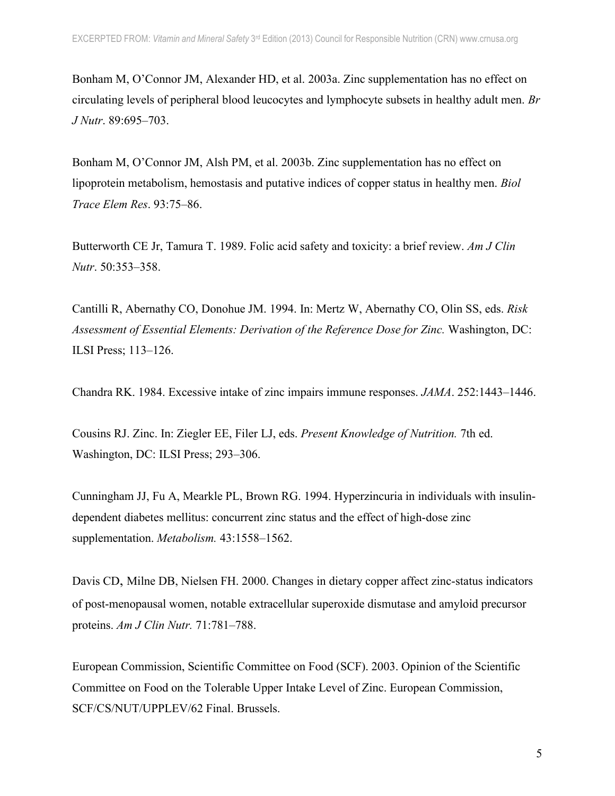Bonham M, O'Connor JM, Alexander HD, et al. 2003a. Zinc supplementation has no effect on circulating levels of peripheral blood leucocytes and lymphocyte subsets in healthy adult men. *Br J Nutr*. 89:695–703.

Bonham M, O'Connor JM, Alsh PM, et al. 2003b. Zinc supplementation has no effect on lipoprotein metabolism, hemostasis and putative indices of copper status in healthy men. *Biol Trace Elem Res*. 93:75–86.

Butterworth CE Jr, Tamura T. 1989. Folic acid safety and toxicity: a brief review. *Am J Clin Nutr*. 50:353–358.

Cantilli R, Abernathy CO, Donohue JM. 1994. In: Mertz W, Abernathy CO, Olin SS, eds. *Risk Assessment of Essential Elements: Derivation of the Reference Dose for Zinc.* Washington, DC: ILSI Press; 113–126.

Chandra RK. 1984. Excessive intake of zinc impairs immune responses. *JAMA*. 252:1443–1446.

Cousins RJ. Zinc. In: Ziegler EE, Filer LJ, eds. *Present Knowledge of Nutrition.* 7th ed. Washington, DC: ILSI Press; 293–306.

Cunningham JJ, Fu A, Mearkle PL, Brown RG. 1994. Hyperzincuria in individuals with insulindependent diabetes mellitus: concurrent zinc status and the effect of high-dose zinc supplementation. *Metabolism.* 43:1558–1562.

Davis CD, Milne DB, Nielsen FH. 2000. Changes in dietary copper affect zinc-status indicators of post-menopausal women, notable extracellular superoxide dismutase and amyloid precursor proteins. *Am J Clin Nutr.* 71:781–788.

European Commission, Scientific Committee on Food (SCF). 2003. Opinion of the Scientific Committee on Food on the Tolerable Upper Intake Level of Zinc. European Commission, SCF/CS/NUT/UPPLEV/62 Final. Brussels.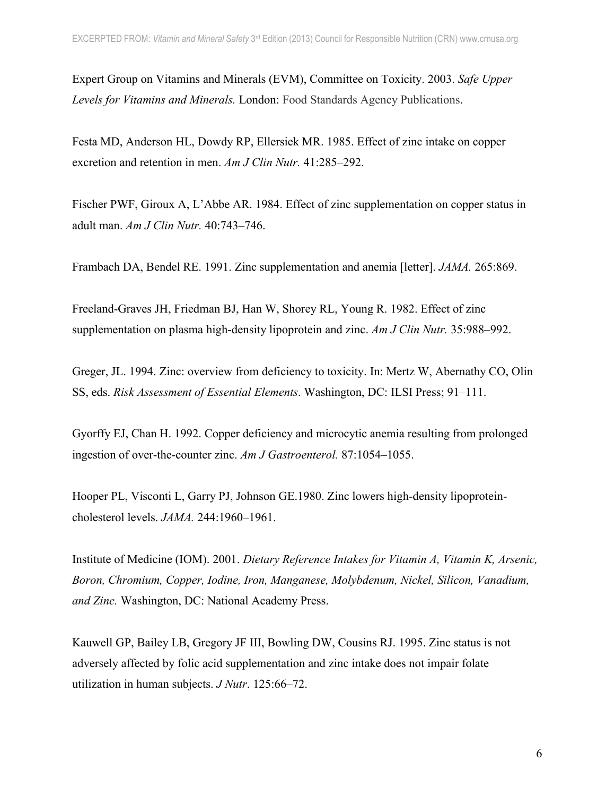Expert Group on Vitamins and Minerals (EVM), Committee on Toxicity. 2003. *Safe Upper Levels for Vitamins and Minerals.* London: Food Standards Agency Publications.

Festa MD, Anderson HL, Dowdy RP, Ellersiek MR. 1985. Effect of zinc intake on copper excretion and retention in men. *Am J Clin Nutr.* 41:285–292.

Fischer PWF, Giroux A, L'Abbe AR. 1984. Effect of zinc supplementation on copper status in adult man. *Am J Clin Nutr.* 40:743–746.

Frambach DA, Bendel RE. 1991. Zinc supplementation and anemia [letter]. *JAMA.* 265:869.

Freeland-Graves JH, Friedman BJ, Han W, Shorey RL, Young R. 1982. Effect of zinc supplementation on plasma high-density lipoprotein and zinc. *Am J Clin Nutr.* 35:988–992.

Greger, JL. 1994. Zinc: overview from deficiency to toxicity. In: Mertz W, Abernathy CO, Olin SS, eds. *Risk Assessment of Essential Elements*. Washington, DC: ILSI Press; 91–111.

Gyorffy EJ, Chan H. 1992. Copper deficiency and microcytic anemia resulting from prolonged ingestion of over-the-counter zinc. *Am J Gastroenterol.* 87:1054–1055.

Hooper PL, Visconti L, Garry PJ, Johnson GE.1980. Zinc lowers high-density lipoproteincholesterol levels. *JAMA.* 244:1960–1961.

Institute of Medicine (IOM). 2001. *Dietary Reference Intakes for Vitamin A, Vitamin K, Arsenic, Boron, Chromium, Copper, Iodine, Iron, Manganese, Molybdenum, Nickel, Silicon, Vanadium, and Zinc.* Washington, DC: National Academy Press.

Kauwell GP, Bailey LB, Gregory JF III, Bowling DW, Cousins RJ. 1995. Zinc status is not adversely affected by folic acid supplementation and zinc intake does not impair folate utilization in human subjects. *J Nutr*. 125:66–72.